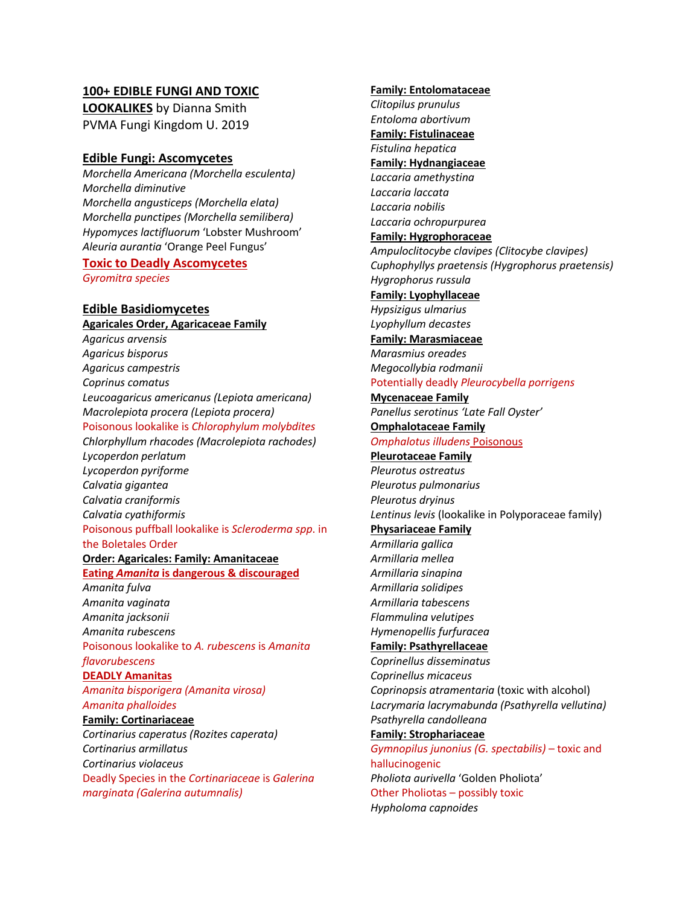### **100+ EDIBLE FUNGI AND TOXIC**

**LOOKALIKES** by Dianna Smith PVMA Fungi Kingdom U. 2019

#### **Edible Fungi: Ascomycetes**

*Morchella Americana (Morchella esculenta) Morchella diminutive Morchella angusticeps (Morchella elata) Morchella punctipes (Morchella semilibera) Hypomyces lactifluorum* 'Lobster Mushroom' *Aleuria aurantia* 'Orange Peel Fungus'

# **Toxic to Deadly Ascomycetes**

*Gyromitra species*

# **Edible Basidiomycetes**

**Agaricales Order, Agaricaceae Family** *Agaricus arvensis Agaricus bisporus Agaricus campestris Coprinus comatus Leucoagaricus americanus (Lepiota americana) Macrolepiota procera (Lepiota procera)*  Poisonous lookalike is *Chlorophylum molybdites Chlorphyllum rhacodes (Macrolepiota rachodes) Lycoperdon perlatum Lycoperdon pyriforme Calvatia gigantea Calvatia craniformis Calvatia cyathiformis* Poisonous puffball lookalike is *Scleroderma spp*. in the Boletales Order

#### **Order: Agaricales: Family: Amanitaceae**

**Eating** *Amanita* **is dangerous & discouraged** *Amanita fulva Amanita vaginata Amanita jacksonii Amanita rubescens* Poisonous lookalike to *A. rubescens* is *Amanita flavorubescens* **DEADLY Amanitas** *Amanita bisporigera (Amanita virosa) Amanita phalloides* **Family: Cortinariaceae** *Cortinarius caperatus (Rozites caperata) Cortinarius armillatus Cortinarius violaceus* Deadly Species in the *Cortinariaceae* is *Galerina marginata (Galerina autumnalis)*

### **Family: Entolomataceae** *Clitopilus prunulus Entoloma abortivum* **Family: Fistulinaceae** *Fistulina hepatica* **Family: Hydnangiaceae** *Laccaria amethystina Laccaria laccata Laccaria nobilis Laccaria ochropurpurea* **Family: Hygrophoraceae** *Ampuloclitocybe clavipes (Clitocybe clavipes) Cuphophyllys praetensis (Hygrophorus praetensis) Hygrophorus russula* **Family: Lyophyllaceae** *Hypsizigus ulmarius Lyophyllum decastes* **Family: Marasmiaceae** *Marasmius oreades Megocollybia rodmanii* Potentially deadly *Pleurocybella porrigens*  **Mycenaceae Family** *Panellus serotinus 'Late Fall Oyster'* **Omphalotaceae Family** *Omphalotus illudens* Poisonous **Pleurotaceae Family** *Pleurotus ostreatus Pleurotus pulmonarius Pleurotus dryinus Lentinus levis* (lookalike in Polyporaceae family) **Physariaceae Family** *Armillaria gallica Armillaria mellea Armillaria sinapina Armillaria solidipes Armillaria tabescens Flammulina velutipes Hymenopellis furfuracea* **Family: Psathyrellaceae** *Coprinellus disseminatus Coprinellus micaceus Coprinopsis atramentaria* (toxic with alcohol) *Lacrymaria lacrymabunda (Psathyrella vellutina) Psathyrella candolleana* **Family: Strophariaceae** *Gymnopilus junonius (G. spectabilis)* – toxic and hallucinogenic

*Pholiota aurivella* 'Golden Pholiota' Other Pholiotas – possibly toxic *Hypholoma capnoides*